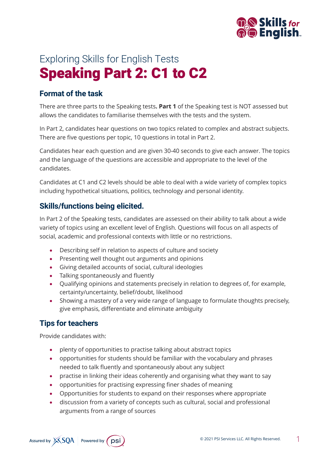

# Exploring Skills for English Tests Speaking Part 2: C1 to C2

## **Format of the task**

There are three parts to the Speaking tests**. Part 1** of the Speaking test is NOT assessed but allows the candidates to familiarise themselves with the tests and the system.

In Part 2, candidates hear questions on two topics related to complex and abstract subjects. There are five questions per topic, 10 questions in total in Part 2.

Candidates hear each question and are given 30-40 seconds to give each answer. The topics and the language of the questions are accessible and appropriate to the level of the candidates.

Candidates at C1 and C2 levels should be able to deal with a wide variety of complex topics including hypothetical situations, politics, technology and personal identity.

#### **Skills/functions being elicited.**

In Part 2 of the Speaking tests, candidates are assessed on their ability to talk about a wide variety of topics using an excellent level of English. Questions will focus on all aspects of social, academic and professional contexts with little or no restrictions.

- Describing self in relation to aspects of culture and society
- Presenting well thought out arguments and opinions
- Giving detailed accounts of social, cultural ideologies
- Talking spontaneously and fluently
- Qualifying opinions and statements precisely in relation to degrees of, for example, certainty/uncertainty, belief/doubt, likelihood
- Showing a mastery of a very wide range of language to formulate thoughts precisely, give emphasis, differentiate and eliminate ambiguity

## **Tips for teachers**

Provide candidates with:

- plenty of opportunities to practise talking about abstract topics
- opportunities for students should be familiar with the vocabulary and phrases needed to talk fluently and spontaneously about any subject
- practise in linking their ideas coherently and organising what they want to say
- opportunities for practising expressing finer shades of meaning
- Opportunities for students to expand on their responses where appropriate
- discussion from a variety of concepts such as cultural, social and professional arguments from a range of sources

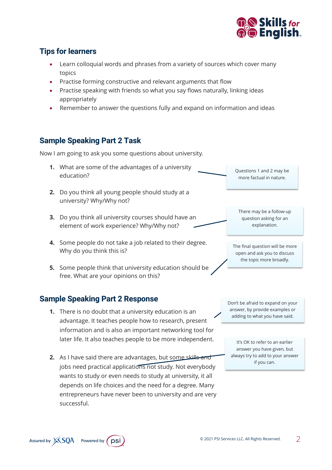

## **Tips for learners**

- Learn colloquial words and phrases from a variety of sources which cover many topics
- Practise forming constructive and relevant arguments that flow
- Practise speaking with friends so what you say flows naturally, linking ideas appropriately
- Remember to answer the questions fully and expand on information and ideas

## **Sample Speaking Part 2 Task**

Now I am going to ask you some questions about university.

- **1.** What are some of the advantages of a university education?
- **2.** Do you think all young people should study at a university? Why/Why not?
- **3.** Do you think all university courses should have an element of work experience? Why/Why not?
- **4.** Some people do not take a job related to their degree. Why do you think this is?
- **5.** Some people think that university education should be free. What are your opinions on this?

## **Sample Speaking Part 2 Response**

- **1.** There is no doubt that a university education is an advantage. It teaches people how to research, present information and is also an important networking tool for later life. It also teaches people to be more independent.
- **2.** As I have said there are advantages, but some skills and jobs need practical applications not study. Not everybody wants to study or even needs to study at university, it all depends on life choices and the need for a degree. Many entrepreneurs have never been to university and are very successful.

Questions 1 and 2 may be more factual in nature.

There may be a follow-up question asking for an explanation.

The final question will be more open and ask you to discuss the topic more broadly.

Don't be afraid to expand on your answer, by provide examples or adding to what you have said.

It's OK to refer to an earlier answer you have given, but always try to add to your answer if you can.